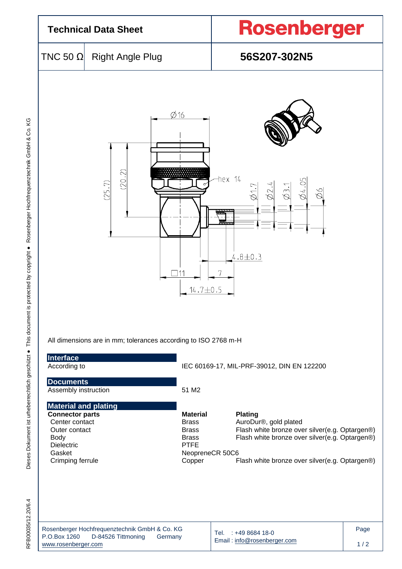| <b>Technical Data Sheet</b>                                                                                                                                |                                                                                            |                                                                                                             | <b>Rosenberger</b>                                                                                                                                                                            |             |  |  |
|------------------------------------------------------------------------------------------------------------------------------------------------------------|--------------------------------------------------------------------------------------------|-------------------------------------------------------------------------------------------------------------|-----------------------------------------------------------------------------------------------------------------------------------------------------------------------------------------------|-------------|--|--|
| TNC 50 $\Omega$                                                                                                                                            | <b>Right Angle Plug</b>                                                                    |                                                                                                             | 56S207-302N5                                                                                                                                                                                  |             |  |  |
|                                                                                                                                                            | (20.2)<br>(25.7)                                                                           | $\emptyset$ 16<br>$14.7 \pm 0.5$                                                                            | hex 14<br>84.05<br>61.7<br>Ø2.<br>$\overline{\varnothing}$<br>$\circ$<br>Ø<br>$4.8 \pm 0.3$                                                                                                   |             |  |  |
| Interface<br>According to                                                                                                                                  | All dimensions are in mm; tolerances according to ISO 2768 m-H                             |                                                                                                             | IEC 60169-17, MIL-PRF-39012, DIN EN 122200                                                                                                                                                    |             |  |  |
| <b>Documents</b><br>Assembly instruction                                                                                                                   |                                                                                            | 51 M2                                                                                                       |                                                                                                                                                                                               |             |  |  |
| <b>Material and plating</b><br><b>Connector parts</b><br>Center contact<br>Outer contact<br><b>Body</b><br><b>Dielectric</b><br>Gasket<br>Crimping ferrule |                                                                                            | <b>Material</b><br><b>Brass</b><br><b>Brass</b><br><b>Brass</b><br><b>PTFE</b><br>NeopreneCR 50C6<br>Copper | <b>Plating</b><br>AuroDur®, gold plated<br>Flash white bronze over silver(e.g. Optargen®)<br>Flash white bronze over silver(e.g. Optargen®)<br>Flash white bronze over silver(e.g. Optargen®) |             |  |  |
| P.O.Box 1260                                                                                                                                               | Rosenberger Hochfrequenztechnik GmbH & Co. KG<br>D-84526 Tittmoning<br>www.rosenberger.com | Germany                                                                                                     | Tel. : +49 8684 18-0<br>Email: info@rosenberger.com                                                                                                                                           | Page<br>1/2 |  |  |